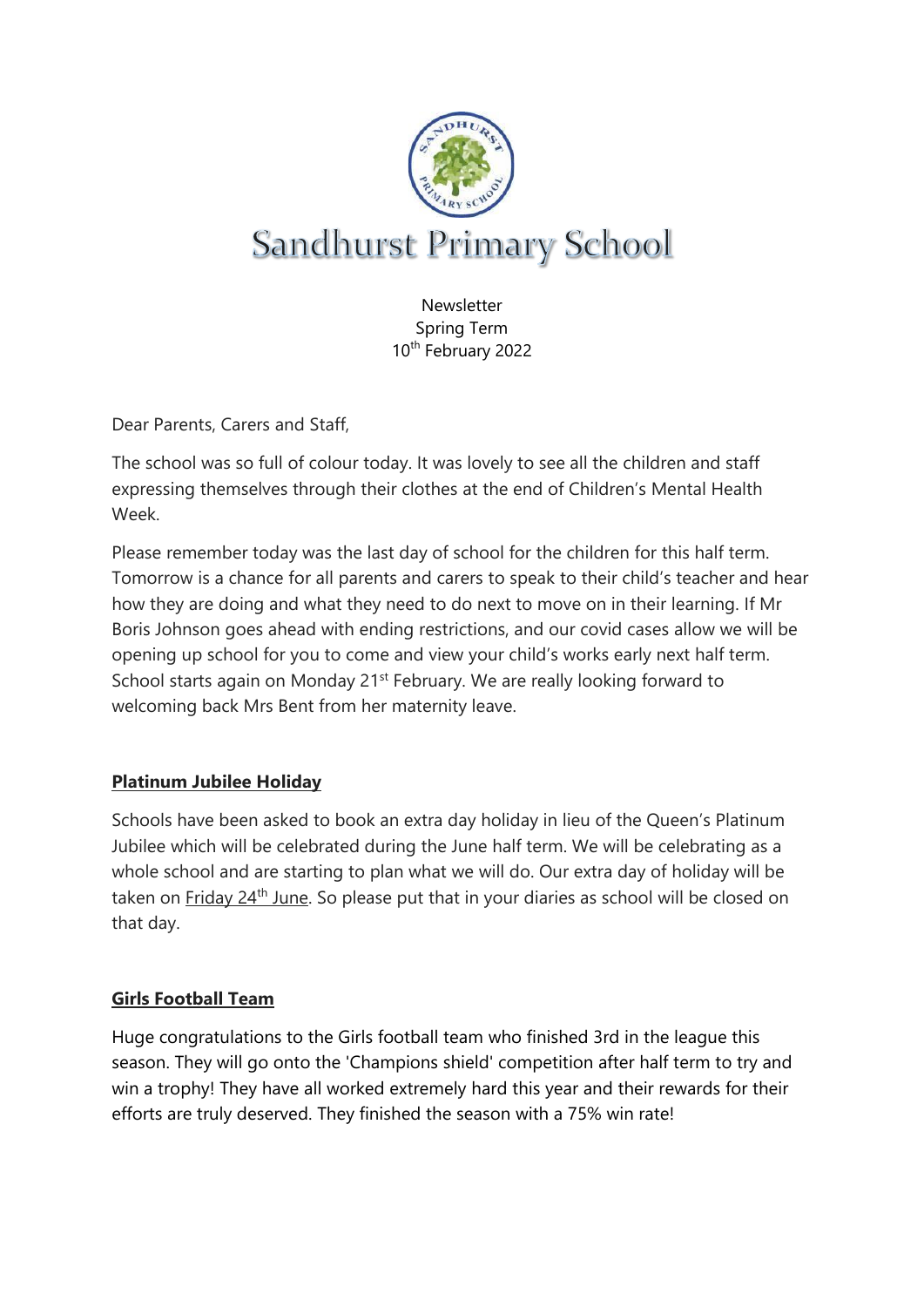

**Newsletter** Spring Term 10th February 2022

Dear Parents, Carers and Staff,

The school was so full of colour today. It was lovely to see all the children and staff expressing themselves through their clothes at the end of Children's Mental Health Week.

Please remember today was the last day of school for the children for this half term. Tomorrow is a chance for all parents and carers to speak to their child's teacher and hear how they are doing and what they need to do next to move on in their learning. If Mr Boris Johnson goes ahead with ending restrictions, and our covid cases allow we will be opening up school for you to come and view your child's works early next half term. School starts again on Monday 21<sup>st</sup> February. We are really looking forward to welcoming back Mrs Bent from her maternity leave.

# **Platinum Jubilee Holiday**

Schools have been asked to book an extra day holiday in lieu of the Queen's Platinum Jubilee which will be celebrated during the June half term. We will be celebrating as a whole school and are starting to plan what we will do. Our extra day of holiday will be taken on Friday 24<sup>th</sup> June. So please put that in your diaries as school will be closed on that day.

#### **Girls Football Team**

Huge congratulations to the Girls football team who finished 3rd in the league this season. They will go onto the 'Champions shield' competition after half term to try and win a trophy! They have all worked extremely hard this year and their rewards for their efforts are truly deserved. They finished the season with a 75% win rate!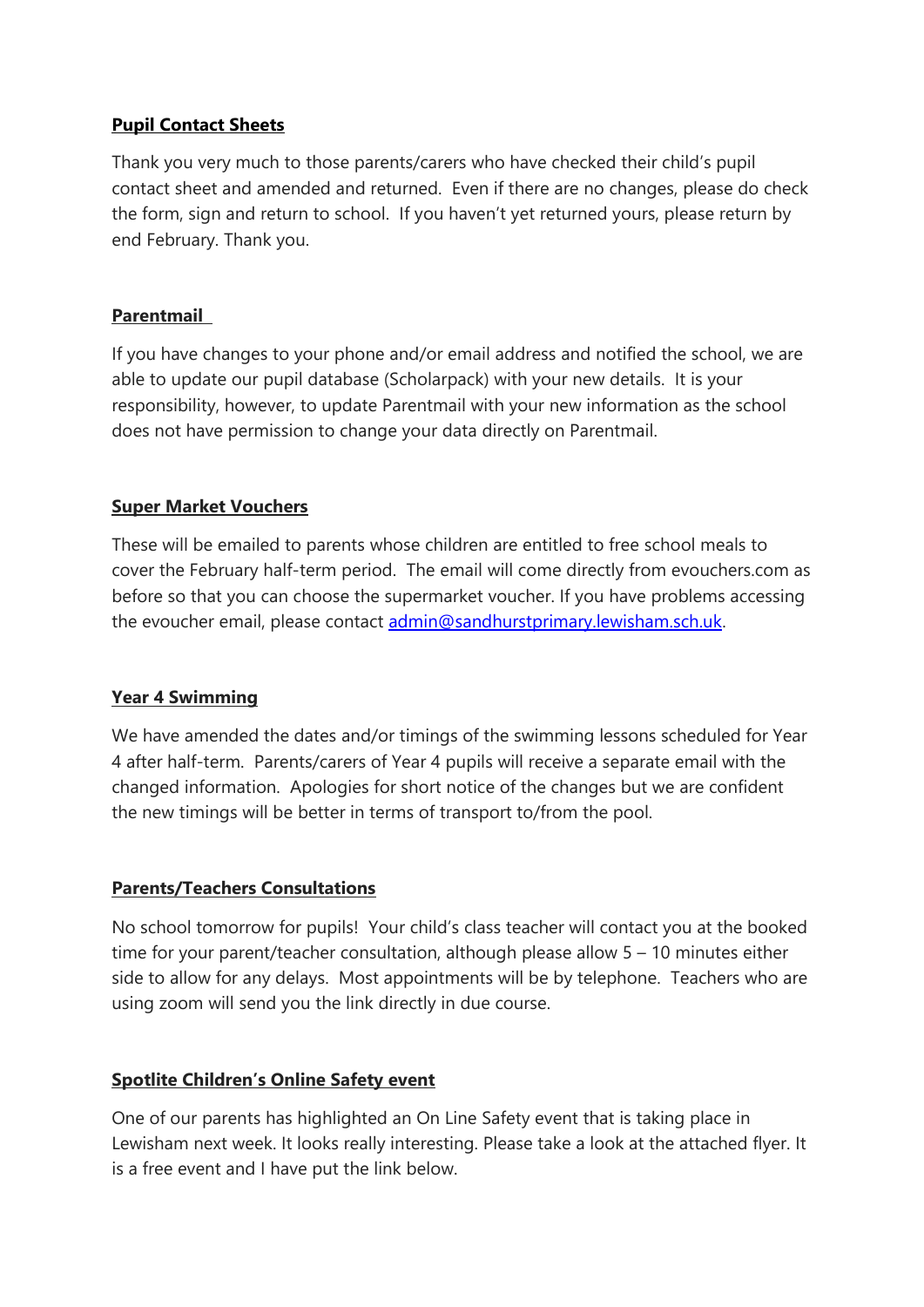## **Pupil Contact Sheets**

Thank you very much to those parents/carers who have checked their child's pupil contact sheet and amended and returned. Even if there are no changes, please do check the form, sign and return to school. If you haven't yet returned yours, please return by end February. Thank you.

## **Parentmail**

If you have changes to your phone and/or email address and notified the school, we are able to update our pupil database (Scholarpack) with your new details. It is your responsibility, however, to update Parentmail with your new information as the school does not have permission to change your data directly on Parentmail.

## **Super Market Vouchers**

These will be emailed to parents whose children are entitled to free school meals to cover the February half-term period. The email will come directly from evouchers.com as before so that you can choose the supermarket voucher. If you have problems accessing the evoucher email, please contact [admin@sandhurstprimary.lewisham.sch.uk.](mailto:admin@sandhurstprimary.lewisham.sch.uk)

#### **Year 4 Swimming**

We have amended the dates and/or timings of the swimming lessons scheduled for Year 4 after half-term. Parents/carers of Year 4 pupils will receive a separate email with the changed information. Apologies for short notice of the changes but we are confident the new timings will be better in terms of transport to/from the pool.

# **Parents/Teachers Consultations**

No school tomorrow for pupils! Your child's class teacher will contact you at the booked time for your parent/teacher consultation, although please allow 5 – 10 minutes either side to allow for any delays. Most appointments will be by telephone. Teachers who are using zoom will send you the link directly in due course.

#### **Spotlite Children's Online Safety event**

One of our parents has highlighted an On Line Safety event that is taking place in Lewisham next week. It looks really interesting. Please take a look at the attached flyer. It is a free event and I have put the link below.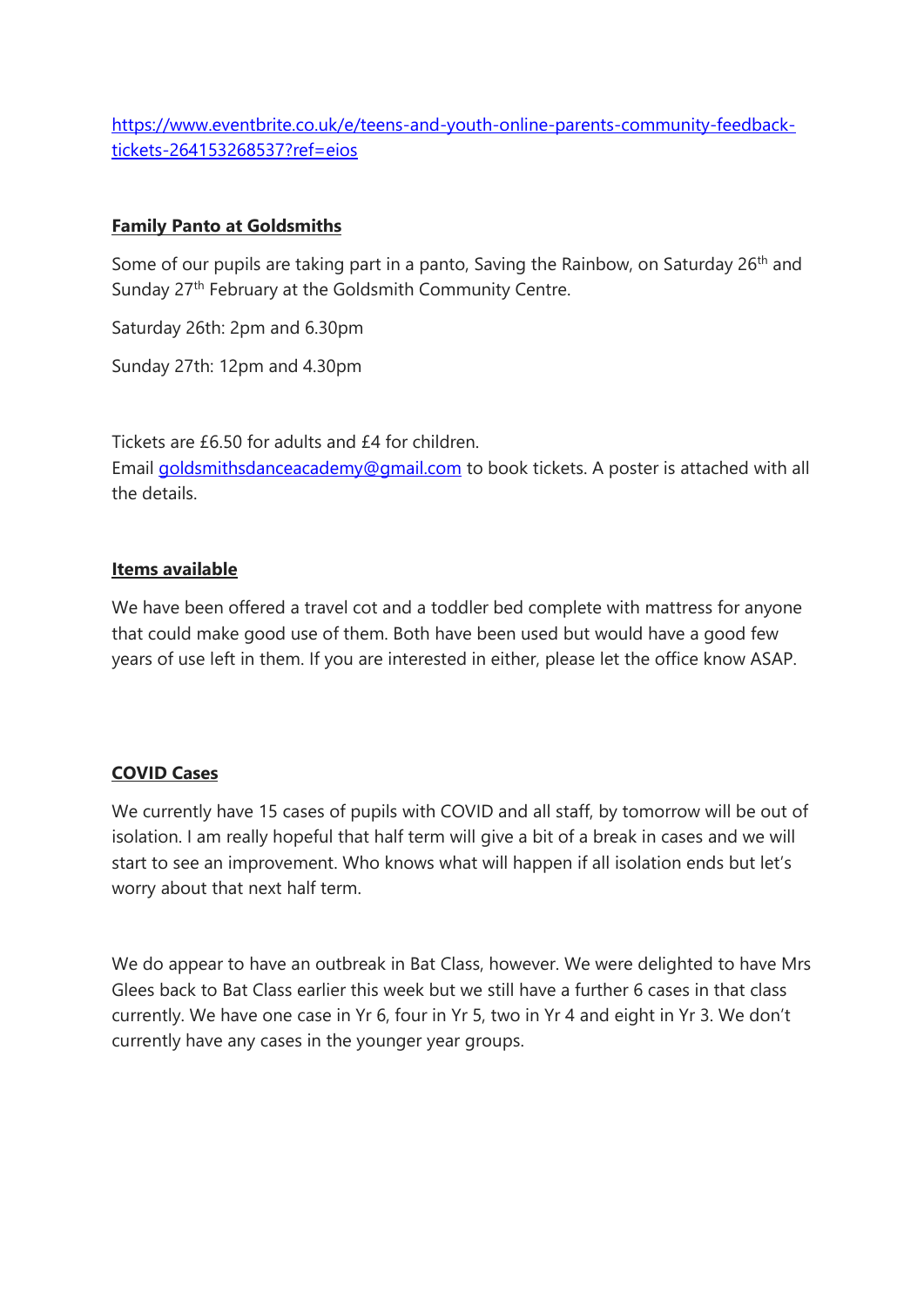[https://www.eventbrite.co.uk/e/teens-and-youth-online-parents-community-feedback](https://www.eventbrite.co.uk/e/teens-and-youth-online-parents-community-feedback-tickets-264153268537?ref=eios)[tickets-264153268537?ref=eios](https://www.eventbrite.co.uk/e/teens-and-youth-online-parents-community-feedback-tickets-264153268537?ref=eios)

## **Family Panto at Goldsmiths**

Some of our pupils are taking part in a panto, Saving the Rainbow, on Saturday 26<sup>th</sup> and Sunday 27<sup>th</sup> February at the Goldsmith Community Centre.

Saturday 26th: 2pm and 6.30pm

Sunday 27th: 12pm and 4.30pm

Tickets are £6.50 for adults and £4 for children. Email [goldsmithsdanceacademy@gmail.com](mailto:goldsmithsdanceacademy@gmail.com) to book tickets. A poster is attached with all the details.

## **Items available**

We have been offered a travel cot and a toddler bed complete with mattress for anyone that could make good use of them. Both have been used but would have a good few years of use left in them. If you are interested in either, please let the office know ASAP.

# **COVID Cases**

We currently have 15 cases of pupils with COVID and all staff, by tomorrow will be out of isolation. I am really hopeful that half term will give a bit of a break in cases and we will start to see an improvement. Who knows what will happen if all isolation ends but let's worry about that next half term.

We do appear to have an outbreak in Bat Class, however. We were delighted to have Mrs Glees back to Bat Class earlier this week but we still have a further 6 cases in that class currently. We have one case in Yr 6, four in Yr 5, two in Yr 4 and eight in Yr 3. We don't currently have any cases in the younger year groups.